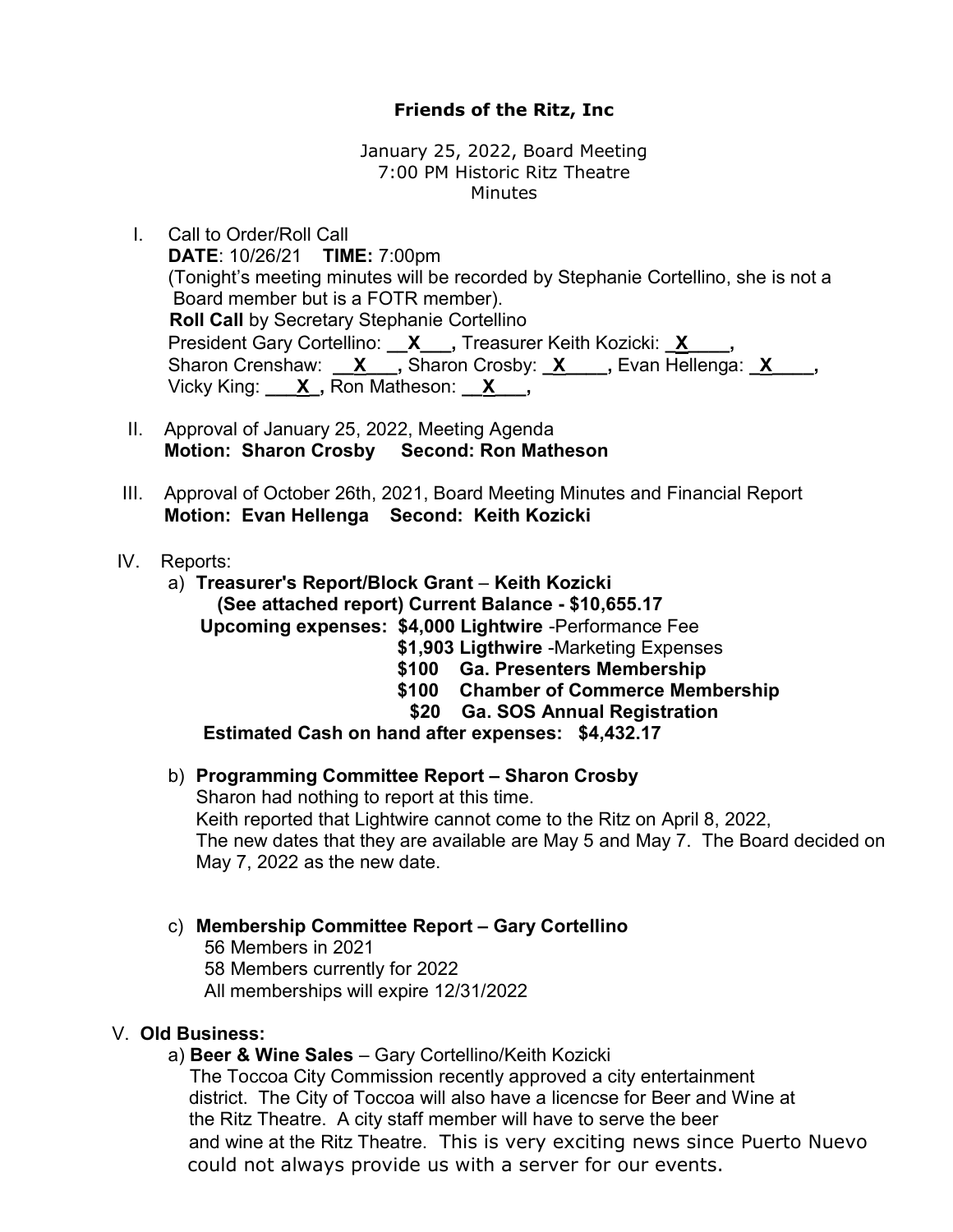# Friends of the Ritz, Inc

January 25, 2022, Board Meeting 7:00 PM Historic Ritz Theatre Minutes

I. Call to Order/Roll Call DATE: 10/26/21 TIME: 7:00pm (Tonight's meeting minutes will be recorded by Stephanie Cortellino, she is not a Board member but is a FOTR member). Roll Call by Secretary Stephanie Cortellino President Gary Cortellino: **X\_\_\_, Treasurer Keith Kozicki: X\_\_\_,** Sharon Crenshaw: <u>X</u>, Sharon Crosby: <u>X, Skan Hellenga: X, Skan</u>, Vicky King:  $X$ , Ron Matheson:  $X$ ,

- II. Approval of January 25, 2022, Meeting Agenda Motion: Sharon Crosby Second: Ron Matheson
- III. Approval of October 26th, 2021, Board Meeting Minutes and Financial Report Motion: Evan Hellenga Second: Keith Kozicki
- IV. Reports:
	- a) Treasurer's Report/Block Grant Keith Kozicki (See attached report) Current Balance - \$10,655.17 Upcoming expenses: \$4,000 Lightwire -Performance Fee \$1,903 Ligthwire -Marketing Expenses \$100 Ga. Presenters Membership \$100 Chamber of Commerce Membership \$20 Ga. SOS Annual Registration

Estimated Cash on hand after expenses: \$4,432.17

- b) Programming Committee Report Sharon Crosby Sharon had nothing to report at this time. Keith reported that Lightwire cannot come to the Ritz on April 8, 2022, The new dates that they are available are May 5 and May 7. The Board decided on May 7, 2022 as the new date.
- c) Membership Committee Report Gary Cortellino

 56 Members in 2021 58 Members currently for 2022 All memberships will expire 12/31/2022

### V. Old Business:

a) Beer & Wine Sales – Gary Cortellino/Keith Kozicki

 The Toccoa City Commission recently approved a city entertainment district. The City of Toccoa will also have a licencse for Beer and Wine at the Ritz Theatre. A city staff member will have to serve the beer and wine at the Ritz Theatre. This is very exciting news since Puerto Nuevo could not always provide us with a server for our events.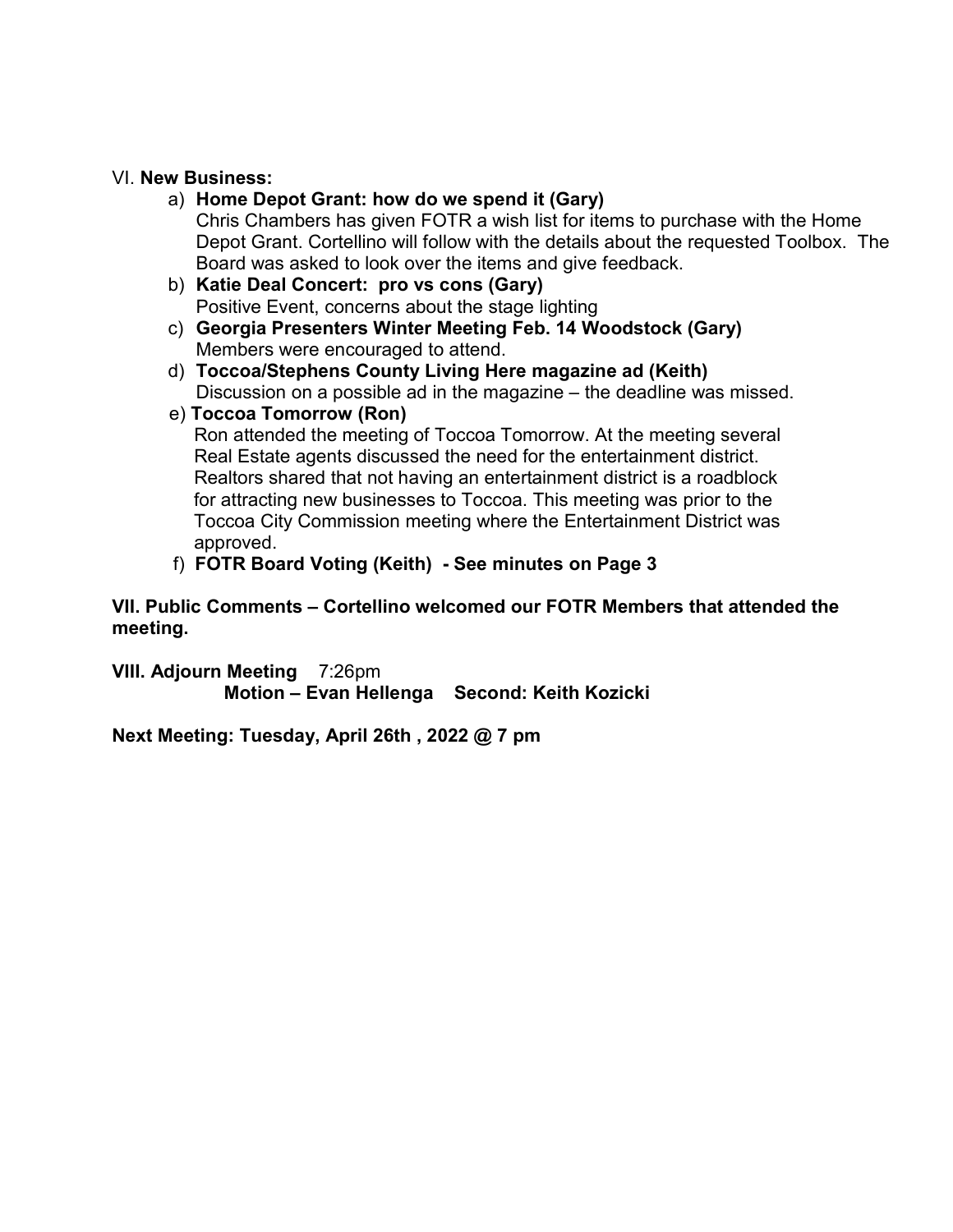#### VI. New Business:

- a) Home Depot Grant: how do we spend it (Gary) Chris Chambers has given FOTR a wish list for items to purchase with the Home Depot Grant. Cortellino will follow with the details about the requested Toolbox. The Board was asked to look over the items and give feedback.
- b) Katie Deal Concert: pro vs cons (Gary) Positive Event, concerns about the stage lighting
- c) Georgia Presenters Winter Meeting Feb. 14 Woodstock (Gary) Members were encouraged to attend.
- d) Toccoa/Stephens County Living Here magazine ad (Keith) Discussion on a possible ad in the magazine – the deadline was missed.

## e) Toccoa Tomorrow (Ron)

 Ron attended the meeting of Toccoa Tomorrow. At the meeting several Real Estate agents discussed the need for the entertainment district. Realtors shared that not having an entertainment district is a roadblock for attracting new businesses to Toccoa. This meeting was prior to the Toccoa City Commission meeting where the Entertainment District was approved.

## f) FOTR Board Voting (Keith) - See minutes on Page 3

VII. Public Comments – Cortellino welcomed our FOTR Members that attended the meeting.

VIII. Adjourn Meeting 7:26pm Motion – Evan Hellenga Second: Keith Kozicki

Next Meeting: Tuesday, April 26th , 2022 @ 7 pm